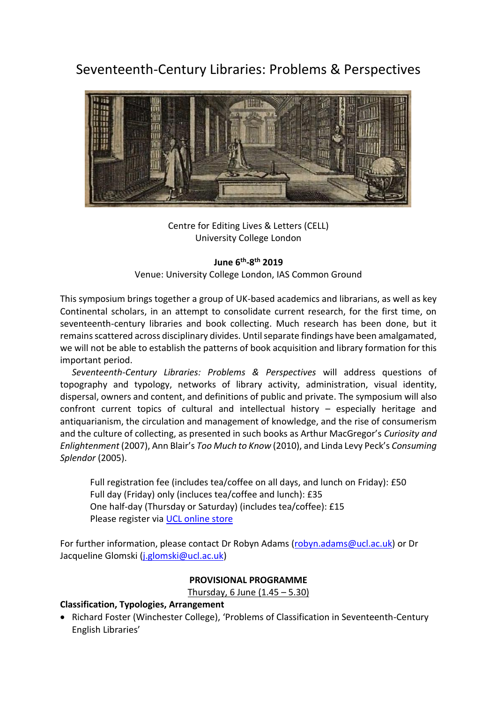Seventeenth-Century Libraries: Problems & Perspectives



Centre for Editing Lives & Letters (CELL) University College London

#### **June 6th -8 th 2019**

Venue: University College London, IAS Common Ground

This symposium brings together a group of UK-based academics and librarians, as well as key Continental scholars, in an attempt to consolidate current research, for the first time, on seventeenth-century libraries and book collecting. Much research has been done, but it remains scattered across disciplinary divides. Until separate findings have been amalgamated, we will not be able to establish the patterns of book acquisition and library formation for this important period.

*Seventeenth-Century Libraries: Problems & Perspectives* will address questions of topography and typology, networks of library activity, administration, visual identity, dispersal, owners and content, and definitions of public and private. The symposium will also confront current topics of cultural and intellectual history – especially heritage and antiquarianism, the circulation and management of knowledge, and the rise of consumerism and the culture of collecting, as presented in such books as Arthur MacGregor's *Curiosity and Enlightenment* (2007), Ann Blair's *Too Much to Know* (2010), and Linda Levy Peck's *Consuming Splendor* (2005).

Full registration fee (includes tea/coffee on all days, and lunch on Friday): £50 Full day (Friday) only (incluces tea/coffee and lunch): £35 One half-day (Thursday or Saturday) (includes tea/coffee): £15 Please register via UCL [online store](https://onlinestore.ucl.ac.uk/conferences-and-events/faculty-of-arts-humanities-c01/centre-for-editing-lives-letters-j75/j75-seventeenthcentury-libraries-problems-perspectives)

For further information, please contact Dr Robyn Adams [\(robyn.adams@ucl.ac.uk\)](mailto:robyn.adams@ucl.ac.uk) or Dr Jacqueline Glomski [\(j.glomski@ucl.ac.uk\)](mailto:j.glomski@ucl.ac.uk)

#### **PROVISIONAL PROGRAMME**

Thursday, 6 June (1.45 – 5.30)

#### **Classification, Typologies, Arrangement**

• Richard Foster (Winchester College), 'Problems of Classification in Seventeenth-Century English Libraries'